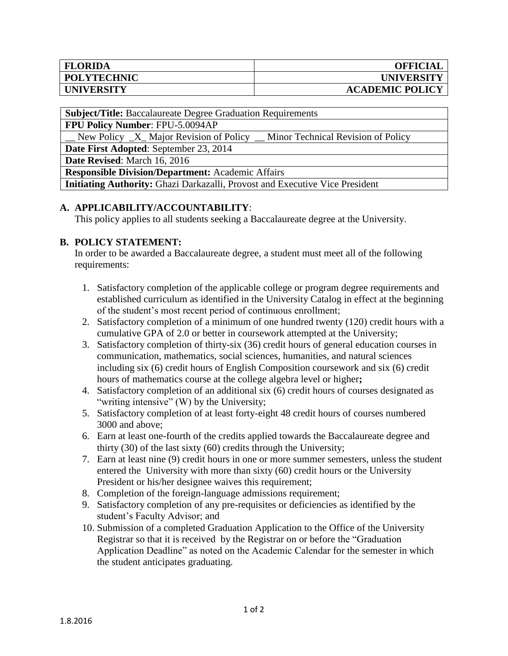| <b>FLORIDA</b>     | <b>OFFICIAL</b>        |
|--------------------|------------------------|
| <b>POLYTECHNIC</b> | <b>UNIVERSITY</b>      |
| <b>UNIVERSITY</b>  | <b>ACADEMIC POLICY</b> |

**Subject/Title:** Baccalaureate Degree Graduation Requirements

**FPU Policy Number**: FPU-5.0094AP

New Policy  $X$  Major Revision of Policy  $\blacksquare$  Minor Technical Revision of Policy

**Date First Adopted**: September 23, 2014

**Date Revised**: March 16, 2016

**Responsible Division/Department:** Academic Affairs

**Initiating Authority:** Ghazi Darkazalli, Provost and Executive Vice President

## **A. APPLICABILITY/ACCOUNTABILITY**:

This policy applies to all students seeking a Baccalaureate degree at the University.

## **B. POLICY STATEMENT:**

In order to be awarded a Baccalaureate degree, a student must meet all of the following requirements:

- 1. Satisfactory completion of the applicable college or program degree requirements and established curriculum as identified in the University Catalog in effect at the beginning of the student's most recent period of continuous enrollment;
- 2. Satisfactory completion of a minimum of one hundred twenty (120) credit hours with a cumulative GPA of 2.0 or better in coursework attempted at the University;
- 3. Satisfactory completion of thirty-six (36) credit hours of general education courses in communication, mathematics, social sciences, humanities, and natural sciences including six (6) credit hours of English Composition coursework and six (6) credit hours of mathematics course at the college algebra level or higher**;**
- 4. Satisfactory completion of an additional six (6) credit hours of courses designated as "writing intensive" (W) by the University;
- 5. Satisfactory completion of at least forty-eight 48 credit hours of courses numbered 3000 and above;
- 6. Earn at least one-fourth of the credits applied towards the Baccalaureate degree and thirty (30) of the last sixty (60) credits through the University;
- 7. Earn at least nine (9) credit hours in one or more summer semesters, unless the student entered the University with more than sixty (60) credit hours or the University President or his/her designee waives this requirement;
- 8. Completion of the foreign-language admissions requirement;
- 9. Satisfactory completion of any pre-requisites or deficiencies as identified by the student's Faculty Advisor; and
- 10. Submission of a completed Graduation Application to the Office of the University Registrar so that it is received by the Registrar on or before the "Graduation Application Deadline" as noted on the Academic Calendar for the semester in which the student anticipates graduating.